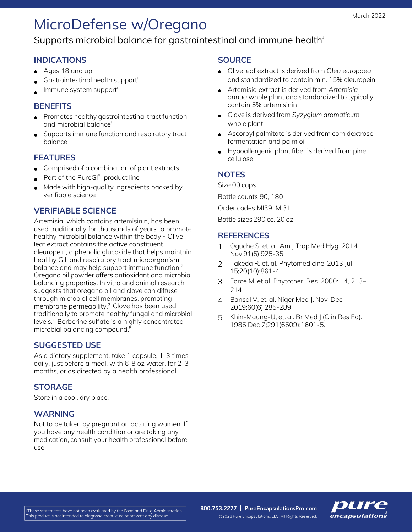# MicroDefense w/Oregano

### Supports microbial balance for gastrointestinal and immune health<sup>#</sup>

#### **INDICATIONS**

- Ages 18 and up
- Gastrointestinal health support<sup>#</sup>
- Immune system support<sup>#</sup>

#### **BENEFITS**

- **Promotes healthy gastrointestinal tract function** and microbial balance‡
- Supports immune function and respiratory tract balance<sup>#</sup>

#### **FEATURES**

- **Comprised of a combination of plant extracts**
- Part of the PureGI<sup> $M$ </sup> product line
- Made with high-quality ingredients backed by verifiable science

#### **VERIFIABLE SCIENCE**

Artemisia, which contains artemisinin, has been used traditionally for thousands of years to promote healthy microbial balance within the body. $1$  Olive leaf extract contains the active constituent oleuropein, a phenolic glucoside that helps maintain healthy G.I. and respiratory tract microorganism balance and may help support immune function.<sup>2</sup> Oregano oil powder offers antioxidant and microbial balancing properties. In vitro and animal research suggests that oregano oil and clove can diffuse through microbial cell membranes, promoting membrane permeability.3 Clove has been used traditionally to promote healthy fungal and microbial levels.4 Berberine sulfate is a highly concentrated microbial balancing compound.<sup>5t</sup>

#### **SUGGESTED USE**

As a dietary supplement, take 1 capsule, 1-3 times daily, just before a meal, with 6-8 oz water, for 2-3 months, or as directed by a health professional.

#### **STORAGE**

Store in a cool, dry place.

#### **WARNING**

Not to be taken by pregnant or lactating women. If you have any health condition or are taking any medication, consult your health professional before use.

#### **SOURCE**

- Olive leaf extract is derived from *Olea europaea* and standardized to contain min. 15% oleuropein
- Artemisia extract is derived from *Artemisia annua* whole plant and standardized to typically contain 5% artemisinin
- Clove is derived from *Syzygium aromaticum* whole plant
- Ascorbyl palmitate is derived from corn dextrose fermentation and palm oil
- Hypoallergenic plant fiber is derived from pine cellulose

#### **NOTES**

Size 00 caps

Bottle counts 90, 180

Order codes MI39, MI31

Bottle sizes 290 cc, 20 oz

#### **REFERENCES**

- 1. Oquche S, et. al. Am | Trop Med Hyg. 2014 Nov;91(5):925-35
- 2. Takeda R, et. al. Phytomedicine. 2013 Jul 15;20(10):861-4.
- Force M, et al. Phytother. Res. 2000: 14, 213– 214
- 4 Bansal V, et. al. Niger Med J. Nov-Dec 2019;60(6):285-289.
- 5. Khin-Maung-U, et. al. Br Med | (Clin Res Ed). 1985 Dec 7;291(6509):1601-5.

800.753.2277 | PureEncapsulationsPro.com ©2022 Pure Encapsulations, LLC. All Rights Reserved.